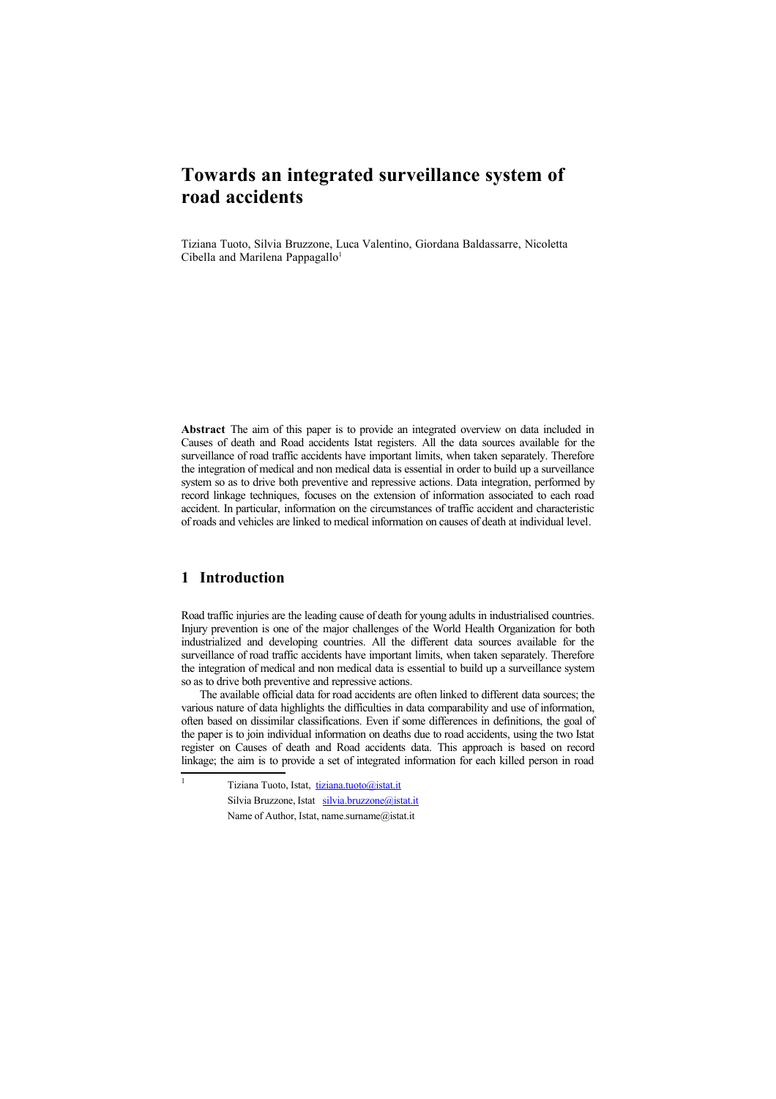# **Towards an integrated surveillance system of road accidents**

Tiziana Tuoto, Silvia Bruzzone, Luca Valentino, Giordana Baldassarre, Nicoletta Cibella and Marilena Pappagallo<sup>[1](#page-0-0)</sup>

**Abstract** The aim of this paper is to provide an integrated overview on data included in Causes of death and Road accidents Istat registers. All the data sources available for the surveillance of road traffic accidents have important limits, when taken separately. Therefore the integration of medical and non medical data is essential in order to build up a surveillance system so as to drive both preventive and repressive actions. Data integration, performed by record linkage techniques, focuses on the extension of information associated to each road accident. In particular, information on the circumstances of traffic accident and characteristic of roads and vehicles are linked to medical information on causes of death at individual level.

# **1 Introduction**

<span id="page-0-0"></span>1

Road traffic injuries are the leading cause of death for young adults in industrialised countries. Injury prevention is one of the major challenges of the World Health Organization for both industrialized and developing countries. All the different data sources available for the surveillance of road traffic accidents have important limits, when taken separately. Therefore the integration of medical and non medical data is essential to build up a surveillance system so as to drive both preventive and repressive actions.

The available official data for road accidents are often linked to different data sources; the various nature of data highlights the difficulties in data comparability and use of information, often based on dissimilar classifications. Even if some differences in definitions, the goal of the paper is to join individual information on deaths due to road accidents, using the two Istat register on Causes of death and Road accidents data. This approach is based on record linkage; the aim is to provide a set of integrated information for each killed person in road

Tiziana Tuoto, Istat, [tiziana.tuoto@istat.it](mailto:tiziana.tuoto@istat.it) Silvia Bruzzone, Istat [silvia.bruzzone@istat.it](mailto:silvia.bruzzone@istat.it) Name of Author, Istat, name.surname@istat.it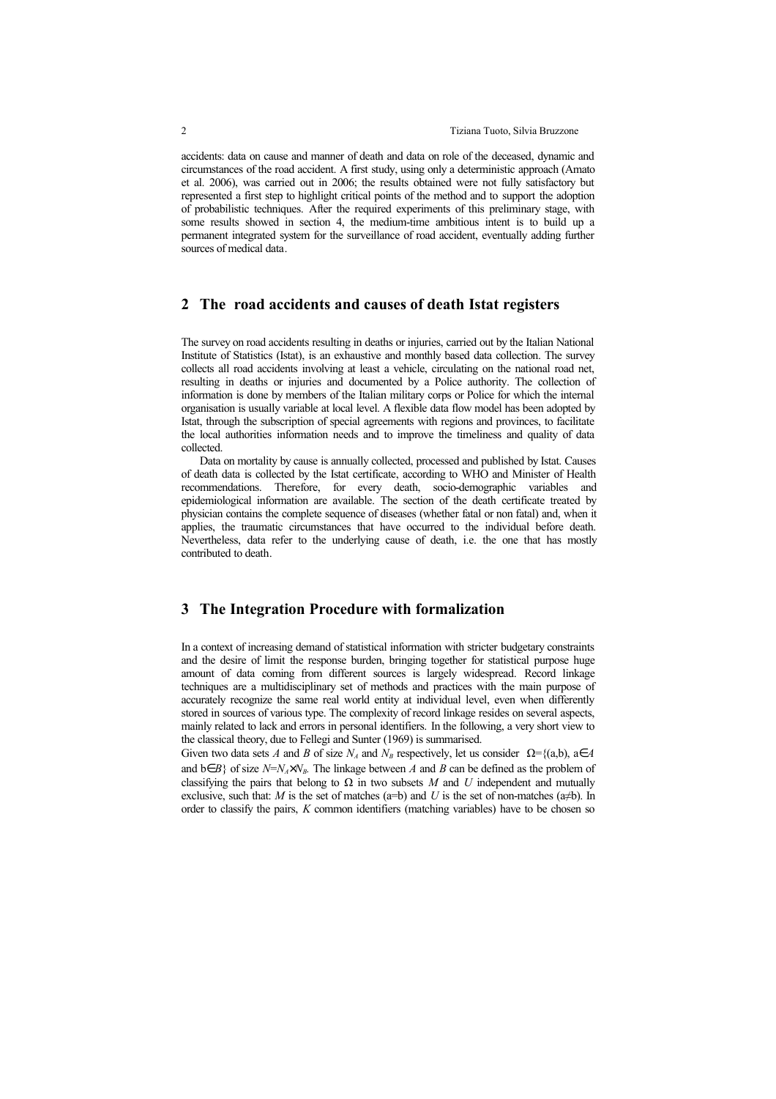accidents: data on cause and manner of death and data on role of the deceased, dynamic and circumstances of the road accident. A first study, using only a deterministic approach (Amato et al. 2006), was carried out in 2006; the results obtained were not fully satisfactory but represented a first step to highlight critical points of the method and to support the adoption of probabilistic techniques. After the required experiments of this preliminary stage, with some results showed in section 4, the medium-time ambitious intent is to build up a permanent integrated system for the surveillance of road accident, eventually adding further sources of medical data.

## **2 The road accidents and causes of death Istat registers**

The survey on road accidents resulting in deaths or injuries, carried out by the Italian National Institute of Statistics (Istat), is an exhaustive and monthly based data collection. The survey collects all road accidents involving at least a vehicle, circulating on the national road net, resulting in deaths or injuries and documented by a Police authority. The collection of information is done by members of the Italian military corps or Police for which the internal organisation is usually variable at local level. A flexible data flow model has been adopted by Istat, through the subscription of special agreements with regions and provinces, to facilitate the local authorities information needs and to improve the timeliness and quality of data collected.

Data on mortality by cause is annually collected, processed and published by Istat. Causes of death data is collected by the Istat certificate, according to WHO and Minister of Health recommendations. Therefore, for every death, socio-demographic variables and epidemiological information are available. The section of the death certificate treated by physician contains the complete sequence of diseases (whether fatal or non fatal) and, when it applies, the traumatic circumstances that have occurred to the individual before death. Nevertheless, data refer to the underlying cause of death, i.e. the one that has mostly contributed to death.

## **3 The Integration Procedure with formalization**

In a context of increasing demand of statistical information with stricter budgetary constraints and the desire of limit the response burden, bringing together for statistical purpose huge amount of data coming from different sources is largely widespread. Record linkage techniques are a multidisciplinary set of methods and practices with the main purpose of accurately recognize the same real world entity at individual level, even when differently stored in sources of various type. The complexity of record linkage resides on several aspects, mainly related to lack and errors in personal identifiers. In the following, a very short view to the classical theory, due to Fellegi and Sunter (1969) is summarised.

Given two data sets *A* and *B* of size  $N_A$  and  $N_B$  respectively, let us consider  $\Omega = \{(a,b), a \in A\}$ and  $b \in B$ } of size *N*=*N*<sub>*A*</sub>×*N*<sub>*B*</sub>. The linkage between *A* and *B* can be defined as the problem of classifying the pairs that belong to  $\Omega$  in two subsets *M* and *U* independent and mutually exclusive, such that: *M* is the set of matches (a=b) and *U* is the set of non-matches (a $\neq$ b). In order to classify the pairs, *K* common identifiers (matching variables) have to be chosen so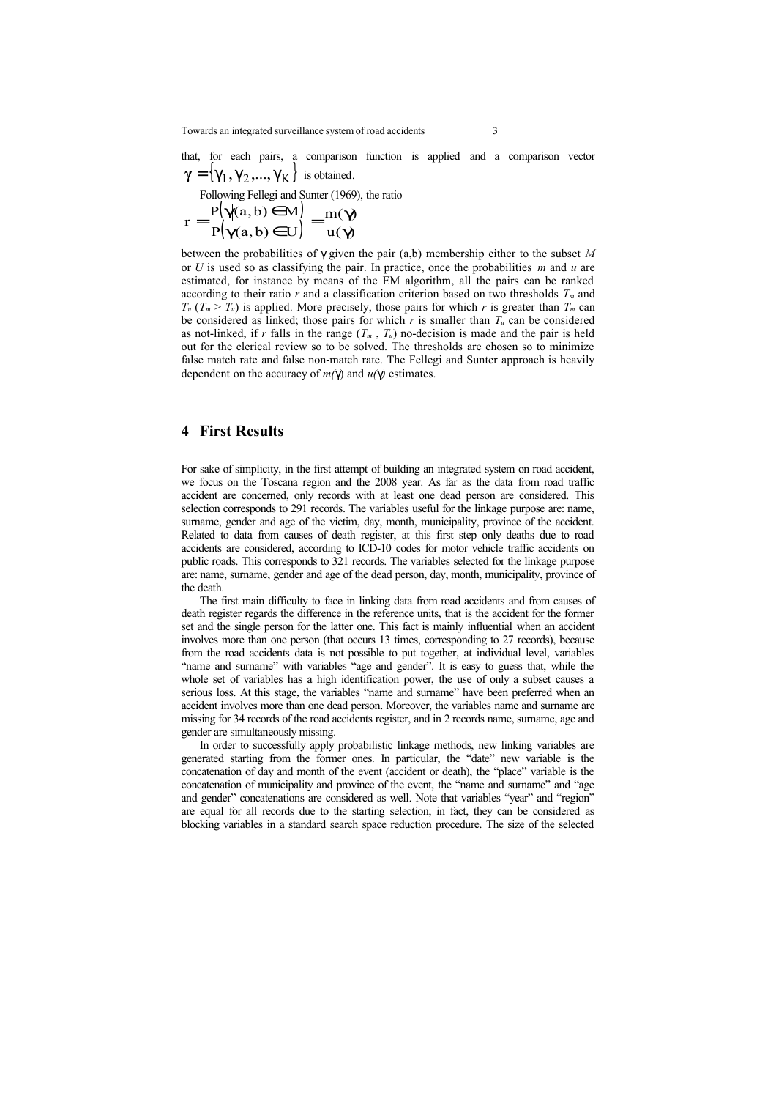Towards an integrated surveillance system of road accidents 3

that, for each pairs, a comparison function is applied and a comparison vector  ${\bf \gamma} = {\bf \gamma}_1, {\bf \gamma}_2, ..., {\bf \gamma}_K$  is obtained.

Following Fellegi and Sunter (1969), the ratio

$$
r = \frac{P(\gamma(a, b) \in M)}{P(\gamma(a, b) \in U)} = \frac{m(\gamma)}{u(\gamma)}
$$

between the probabilities of γ given the pair (a,b) membership either to the subset *M* or *U* is used so as classifying the pair. In practice, once the probabilities *m* and *u* are estimated, for instance by means of the EM algorithm, all the pairs can be ranked according to their ratio  $r$  and a classification criterion based on two thresholds  $T<sub>m</sub>$  and  $T_u$  ( $T_m > T_u$ ) is applied. More precisely, those pairs for which *r* is greater than  $T_m$  can be considered as linked; those pairs for which  $r$  is smaller than  $T_u$  can be considered as not-linked, if *r* falls in the range  $(T_m, T_u)$  no-decision is made and the pair is held out for the clerical review so to be solved. The thresholds are chosen so to minimize false match rate and false non-match rate. The Fellegi and Sunter approach is heavily dependent on the accuracy of *m(*γ) and *u(*γ*)* estimates.

#### **4 First Results**

For sake of simplicity, in the first attempt of building an integrated system on road accident, we focus on the Toscana region and the 2008 year. As far as the data from road traffic accident are concerned, only records with at least one dead person are considered. This selection corresponds to 291 records. The variables useful for the linkage purpose are: name, surname, gender and age of the victim, day, month, municipality, province of the accident. Related to data from causes of death register, at this first step only deaths due to road accidents are considered, according to ICD-10 codes for motor vehicle traffic accidents on public roads. This corresponds to 321 records. The variables selected for the linkage purpose are: name, surname, gender and age of the dead person, day, month, municipality, province of the death.

The first main difficulty to face in linking data from road accidents and from causes of death register regards the difference in the reference units, that is the accident for the former set and the single person for the latter one. This fact is mainly influential when an accident involves more than one person (that occurs 13 times, corresponding to 27 records), because from the road accidents data is not possible to put together, at individual level, variables "name and surname" with variables "age and gender". It is easy to guess that, while the whole set of variables has a high identification power, the use of only a subset causes a serious loss. At this stage, the variables "name and surname" have been preferred when an accident involves more than one dead person. Moreover, the variables name and surname are missing for 34 records of the road accidents register, and in 2 records name, surname, age and gender are simultaneously missing.

In order to successfully apply probabilistic linkage methods, new linking variables are generated starting from the former ones. In particular, the "date" new variable is the concatenation of day and month of the event (accident or death), the "place" variable is the concatenation of municipality and province of the event, the "name and surname" and "age and gender" concatenations are considered as well. Note that variables "year" and "region" are equal for all records due to the starting selection; in fact, they can be considered as blocking variables in a standard search space reduction procedure. The size of the selected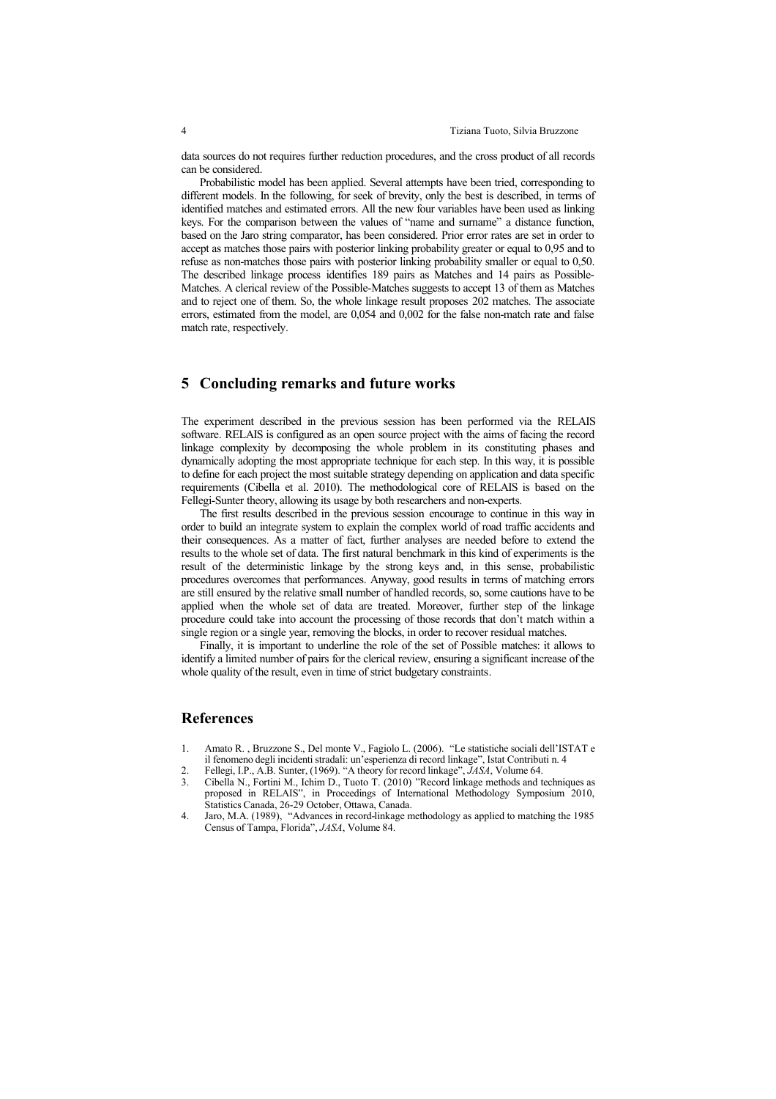data sources do not requires further reduction procedures, and the cross product of all records can be considered.

Probabilistic model has been applied. Several attempts have been tried, corresponding to different models. In the following, for seek of brevity, only the best is described, in terms of identified matches and estimated errors. All the new four variables have been used as linking keys. For the comparison between the values of "name and surname" a distance function, based on the Jaro string comparator, has been considered. Prior error rates are set in order to accept as matches those pairs with posterior linking probability greater or equal to 0,95 and to refuse as non-matches those pairs with posterior linking probability smaller or equal to 0,50. The described linkage process identifies 189 pairs as Matches and 14 pairs as Possible-Matches. A clerical review of the Possible-Matches suggests to accept 13 of them as Matches and to reject one of them. So, the whole linkage result proposes 202 matches. The associate errors, estimated from the model, are 0,054 and 0,002 for the false non-match rate and false match rate, respectively.

## **5 Concluding remarks and future works**

The experiment described in the previous session has been performed via the RELAIS software. RELAIS is configured as an open source project with the aims of facing the record linkage complexity by decomposing the whole problem in its constituting phases and dynamically adopting the most appropriate technique for each step. In this way, it is possible to define for each project the most suitable strategy depending on application and data specific requirements (Cibella et al. 2010). The methodological core of RELAIS is based on the Fellegi-Sunter theory, allowing its usage by both researchers and non-experts.

The first results described in the previous session encourage to continue in this way in order to build an integrate system to explain the complex world of road traffic accidents and their consequences. As a matter of fact, further analyses are needed before to extend the results to the whole set of data. The first natural benchmark in this kind of experiments is the result of the deterministic linkage by the strong keys and, in this sense, probabilistic procedures overcomes that performances. Anyway, good results in terms of matching errors are still ensured by the relative small number of handled records, so, some cautions have to be applied when the whole set of data are treated. Moreover, further step of the linkage procedure could take into account the processing of those records that don't match within a single region or a single year, removing the blocks, in order to recover residual matches.

Finally, it is important to underline the role of the set of Possible matches: it allows to identify a limited number of pairs for the clerical review, ensuring a significant increase of the whole quality of the result, even in time of strict budgetary constraints.

#### **References**

- 1. Amato R. , Bruzzone S., Del monte V., Fagiolo L. (2006). "Le statistiche sociali dell'ISTAT e il fenomeno degli incidenti stradali: un'esperienza di record linkage", Istat Contributi n. 4
- 2. Fellegi, I.P., A.B. Sunter, (1969). "A theory for record linkage", *JASA*, Volume 64.
- 3. Cibella N., Fortini M., Ichim D., Tuoto T. (2010) "Record linkage methods and techniques as proposed in RELAIS", in Proceedings of International Methodology Symposium 2010, Statistics Canada, 26-29 October, Ottawa, Canada.
- 4. Jaro, M.A. (1989), "Advances in record-linkage methodology as applied to matching the 1985 Census of Tampa, Florida", *JASA*, Volume 84.